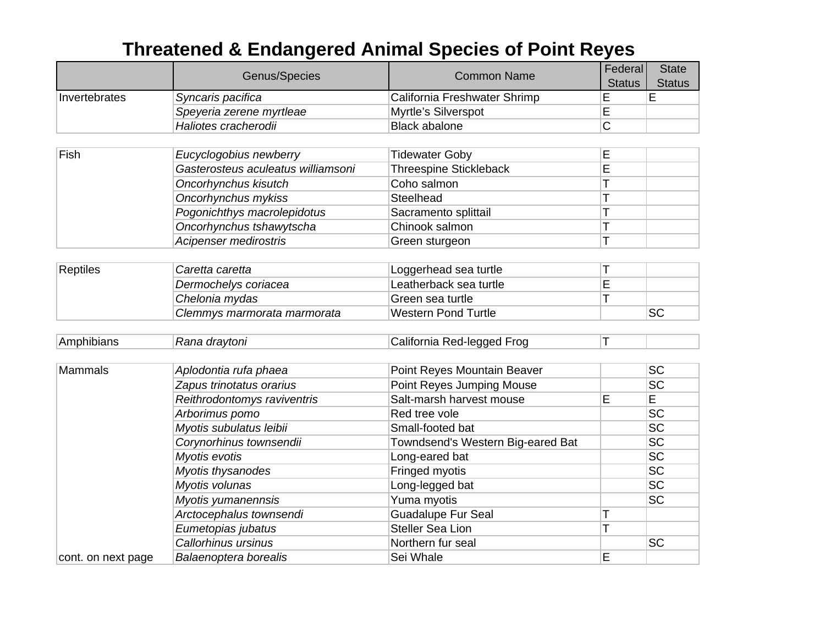## **Threatened & Endangered Animal Species of Point Reyes**

|                    |                                    | <b>Common Name</b>                | Federal        | <b>State</b>    |
|--------------------|------------------------------------|-----------------------------------|----------------|-----------------|
|                    | Genus/Species                      |                                   | <b>Status</b>  | <b>Status</b>   |
| Invertebrates      | Syncaris pacifica                  | California Freshwater Shrimp      | Е              | E               |
|                    | Speyeria zerene myrtleae           | Myrtle's Silverspot               | E              |                 |
|                    | Haliotes cracherodii               | <b>Black abalone</b>              | $\overline{C}$ |                 |
|                    |                                    |                                   |                |                 |
| Fish               | Eucyclogobius newberry             | <b>Tidewater Goby</b>             | E              |                 |
|                    | Gasterosteus aculeatus williamsoni | <b>Threespine Stickleback</b>     | Ē              |                 |
|                    | Oncorhynchus kisutch               | Coho salmon                       | T              |                 |
|                    | Oncorhynchus mykiss                | Steelhead                         | T              |                 |
|                    | Pogonichthys macrolepidotus        | Sacramento splittail              | T              |                 |
|                    | Oncorhynchus tshawytscha           | Chinook salmon                    | T              |                 |
|                    | Acipenser medirostris              | Green sturgeon                    | T              |                 |
|                    |                                    |                                   |                |                 |
| <b>Reptiles</b>    | Caretta caretta                    | Loggerhead sea turtle             | Т              |                 |
|                    | Dermochelys coriacea               | Leatherback sea turtle            | E              |                 |
|                    | Chelonia mydas                     | Green sea turtle                  |                |                 |
|                    | Clemmys marmorata marmorata        | <b>Western Pond Turtle</b>        |                | <b>SC</b>       |
|                    |                                    |                                   |                |                 |
| Amphibians         | Rana draytoni                      | California Red-legged Frog        | T              |                 |
| <b>Mammals</b>     | Aplodontia rufa phaea              | Point Reyes Mountain Beaver       |                | <b>SC</b>       |
|                    | Zapus trinotatus orarius           | Point Reyes Jumping Mouse         |                | <b>SC</b>       |
|                    | Reithrodontomys raviventris        | Salt-marsh harvest mouse          | E              | $\overline{E}$  |
|                    | Arborimus pomo                     | Red tree vole                     |                | <b>SC</b>       |
|                    | Myotis subulatus leibii            | Small-footed bat                  |                | <b>SC</b>       |
|                    | Corynorhinus townsendii            | Towndsend's Western Big-eared Bat |                | <b>SC</b>       |
|                    | Myotis evotis                      | Long-eared bat                    |                | <b>SC</b>       |
|                    | Myotis thysanodes                  | Fringed myotis                    |                | SC              |
|                    | Myotis volunas                     | Long-legged bat                   |                | $\overline{SC}$ |
|                    | Myotis yumanennsis                 | Yuma myotis                       |                | SC              |
|                    | Arctocephalus townsendi            | <b>Guadalupe Fur Seal</b>         | Τ              |                 |
|                    | Eumetopias jubatus                 | <b>Steller Sea Lion</b>           | T              |                 |
|                    | Callorhinus ursinus                | Northern fur seal                 |                | <b>SC</b>       |
| cont. on next page | Balaenoptera borealis              | Sei Whale                         | E              |                 |